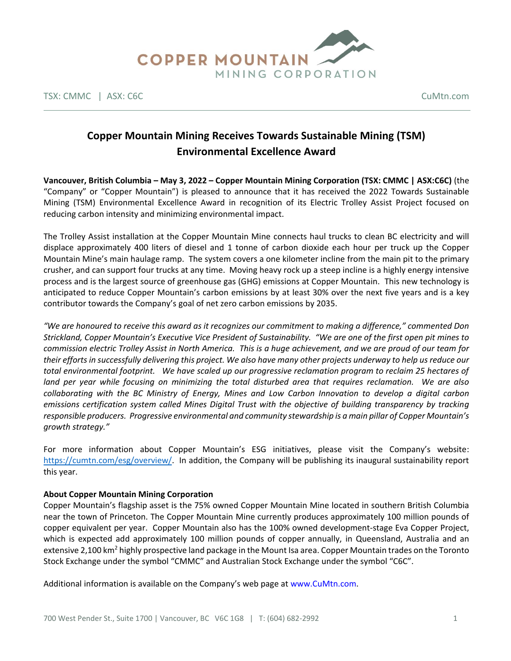

TSX: CMMC | ASX: C6C CuMtn.com

# **Copper Mountain Mining Receives Towards Sustainable Mining (TSM) Environmental Excellence Award**

**Vancouver, British Columbia – May 3, 2022 – Copper Mountain Mining Corporation (TSX: CMMC | ASX:C6C)** (the "Company" or "Copper Mountain") is pleased to announce that it has received the 2022 Towards Sustainable Mining (TSM) Environmental Excellence Award in recognition of its Electric Trolley Assist Project focused on reducing carbon intensity and minimizing environmental impact.

The Trolley Assist installation at the Copper Mountain Mine connects haul trucks to clean BC electricity and will displace approximately 400 liters of diesel and 1 tonne of carbon dioxide each hour per truck up the Copper Mountain Mine's main haulage ramp. The system covers a one kilometer incline from the main pit to the primary crusher, and can support four trucks at any time. Moving heavy rock up a steep incline is a highly energy intensive process and is the largest source of greenhouse gas (GHG) emissions at Copper Mountain. This new technology is anticipated to reduce Copper Mountain's carbon emissions by at least 30% over the next five years and is a key contributor towards the Company's goal of net zero carbon emissions by 2035.

*"We are honoured to receive this award as it recognizes our commitment to making a difference," commented Don Strickland, Copper Mountain's Executive Vice President of Sustainability. "We are one of the first open pit mines to commission electric Trolley Assist in North America. This is a huge achievement, and we are proud of our team for their efforts in successfully delivering this project. We also have many other projects underway to help us reduce our total environmental footprint. We have scaled up our progressive reclamation program to reclaim 25 hectares of land per year while focusing on minimizing the total disturbed area that requires reclamation. We are also collaborating with the BC Ministry of Energy, Mines and Low Carbon Innovation to develop a digital carbon emissions certification system called Mines Digital Trust with the objective of building transparency by tracking responsible producers. Progressive environmental and community stewardship is a main pillar of Copper Mountain's growth strategy."*

For more information about Copper Mountain's ESG initiatives, please visit the Company's website: [https://cumtn.com/esg/overview/.](https://cumtn.com/esg/overview/) In addition, the Company will be publishing its inaugural sustainability report this year.

## **About Copper Mountain Mining Corporation**

Copper Mountain's flagship asset is the 75% owned Copper Mountain Mine located in southern British Columbia near the town of Princeton. The Copper Mountain Mine currently produces approximately 100 million pounds of copper equivalent per year. Copper Mountain also has the 100% owned development-stage Eva Copper Project, which is expected add approximately 100 million pounds of copper annually, in Queensland, Australia and an extensive 2,100 km<sup>2</sup> highly prospective land package in the Mount Isa area. Copper Mountain trades on the Toronto Stock Exchange under the symbol "CMMC" and Australian Stock Exchange under the symbol "C6C".

Additional information is available on the Company's web page at www.CuMtn.com.